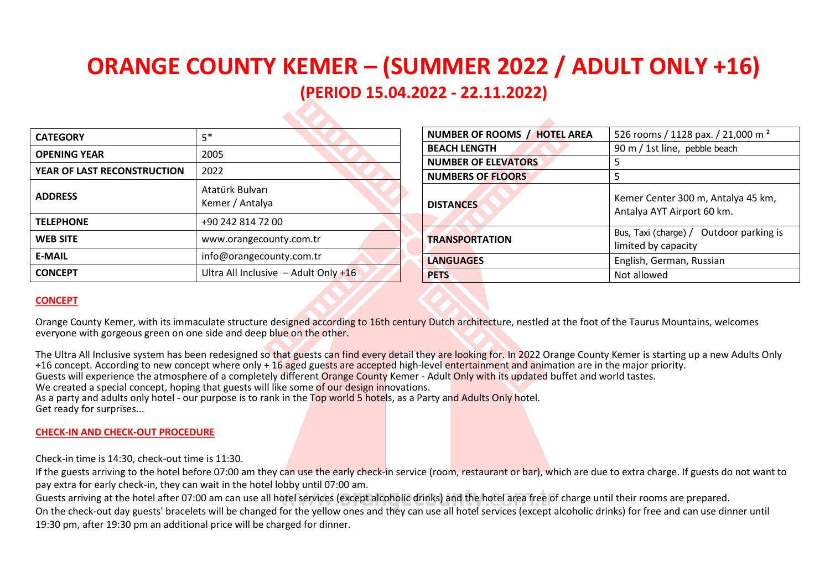# **ORANGE COUNTY KEMER – (SUMMER 2022 / ADULT ONLY +16) (PERIOD 15.04.2022 - 22.11.2022)**

| <b>CATEGORY</b>             | $5*$                                   |
|-----------------------------|----------------------------------------|
| <b>OPENING YEAR</b>         | 2005                                   |
| YEAR OF LAST RECONSTRUCTION | 2022                                   |
| <b>ADDRESS</b>              | Atatürk Bulvarı<br>Kemer / Antalya     |
| <b>TELEPHONE</b>            | +90 242 814 72 00                      |
| <b>WEB SITE</b>             | www.orangecounty.com.tr                |
| <b>E-MAIL</b>               | info@orangecounty.com.tr               |
| <b>CONCEPT</b>              | Ultra All Inclusive - Adult Only $+16$ |

| NUMBER OF ROOMS / HOTEL AREA | 526 rooms / 1128 pax. / 21,000 m <sup>2</sup>                    |
|------------------------------|------------------------------------------------------------------|
| <b>BEACH LENGTH</b>          | 90 m / 1st line, pebble beach                                    |
| <b>NUMBER OF ELEVATORS</b>   | 5                                                                |
| <b>NUMBERS OF FLOORS</b>     | 5                                                                |
| <b>DISTANCES</b>             | Kemer Center 300 m, Antalya 45 km,<br>Antalya AYT Airport 60 km. |
| <b>TRANSPORTATION</b>        | Bus, Taxi (charge) / Outdoor parking is<br>limited by capacity   |
| <b>LANGUAGES</b>             | English, German, Russian                                         |
| <b>PETS</b>                  | Not allowed                                                      |

# **CONCEPT**

Orange County Kemer, with its immaculate structure designed according to 16th century Dutch architecture, nestled at the foot of the Taurus Mountains, welcomes everyone with gorgeous green on one side and deep blue on the other.

The Ultra All Inclusive system has been redesigned so that guests can find every detail they are looking for. In 2022 Orange County Kemer is starting up a new Adults Only +16 concept. According to new concept where only + 16 aged guests are accepted high-level entertainment and animation are in the major priority. Guests will experience the atmosphere of a completely different Orange County Kemer - Adult Only with its updated buffet and world tastes. We created a special concept, hoping that guests will like some of our design innovations. As a party and adults only hotel - our purpose is to rank in the Top world 5 hotels, as a Party and Adults Only hotel. Get ready for surprises...

# **CHECK-IN AND CHECK-OUT PROCEDURE**

Check-in time is 14:30, check-out time is 11:30.

If the guests arriving to the hotel before 07:00 am they can use the early check-in service (room, restaurant or bar), which are due to extra charge. If guests do not want to pay extra for early check-in, they can wait in the hotel lobby until 07:00 am.

Guests arriving at the hotel after 07:00 am can use all hotel services (except alcoholic drinks) and the hotel area free of charge until their rooms are prepared.

On the check-out day guests' bracelets will be changed for the yellow ones and they can use all hotel services (except alcoholic drinks) for free and can use dinner until 19:30 pm, after 19:30 pm an additional price will be charged for dinner.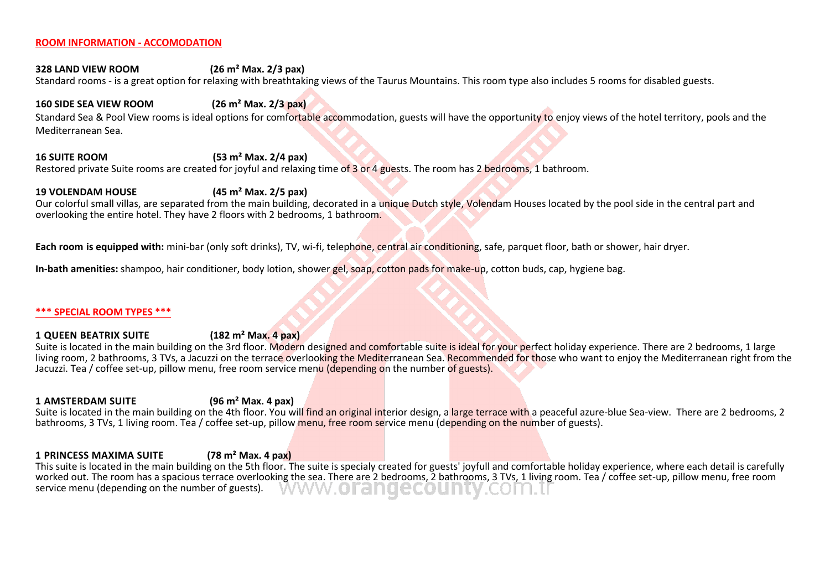#### **ROOM INFORMATION - ACCOMODATION**

# **328 LAND VIEW ROOM (26 m² Маx. 2/3 pax)**

Standard rooms - is a great option for relaxing with breathtaking views of the Taurus Mountains. This room type also includes 5 rooms for disabled guests.

### **160 SIDE SEA VIEW ROOM (26 m² Маx. 2/3 pax)**

Standard Sea & Pool View rooms is ideal options for comfortable accommodation, guests will have the opportunity to enjoy views of the hotel territory, pools and the Mediterranean Sea.

# **16 SUITE ROOM (53 m² Маx. 2/4 pax)**

Restored private Suite rooms are created for joyful and relaxing time of 3 or 4 guests. The room has 2 bedrooms, 1 bathroom.

# **19 VOLENDAM HOUSE (45 m² Маx. 2/5 pax)**

Our colorful small villas, are separated from the main building, decorated in a unique Dutch style, Volendam Houses located by the pool side in the central part and overlooking the entire hotel. They have 2 floors with 2 bedrooms, 1 bathroom.

**Each room is equipped with:** mini-bar (only soft drinks), TV, wi-fi, telephone, central air conditioning, safe, parquet floor, bath or shower, hair dryer.

**In-bath amenities:** shampoo, hair conditioner, body lotion, shower gel, soap, cotton pads for make-up, cotton buds, cap, hygiene bag.

#### **\*\*\* SPECIAL ROOM TYPES \*\*\***

#### **1 QUEEN BEATRIX SUITE (182 m² Маx. 4 pax)**

Suite is located in the main building on the 3rd floor. Modern designed and comfortable suite is ideal for your perfect holiday experience. There are 2 bedrooms, 1 large living room, 2 bathrooms, 3 TVs, a Jacuzzi on the terrace overlooking the Mediterranean Sea. Recommended for those who want to enjoy the Mediterranean right from the Jacuzzi. Tea / coffee set-up, pillow menu, free room service menu (depending on the number of guests).

#### **1 AMSTERDAM SUITE (96 m² Маx. 4 pax)**

Suite is located in the main building on the 4th floor. You will find an original interior design, a large terrace with a peaceful azure-blue Sea-view. There are 2 bedrooms, 2 bathrooms, 3 TVs, 1 living room. Tea / coffee set-up, pillow menu, free room service menu (depending on the number of guests).

#### **1 PRINCESS MAXIMA SUITE (78 m² Маx. 4 pax)**

This suite is located in the main building on the 5th floor. The suite is specialy created for guests' joyfull and comfortable holiday experience, where each detail is carefully worked out. The room has a spacious terrace overlooking the sea. There are 2 bedrooms, 2 bathrooms, 3 TVs, 1 living room. Tea / coffee set-up, pillow menu, free room service menu (depending on the number of guests). service menu (depending on the number of guests).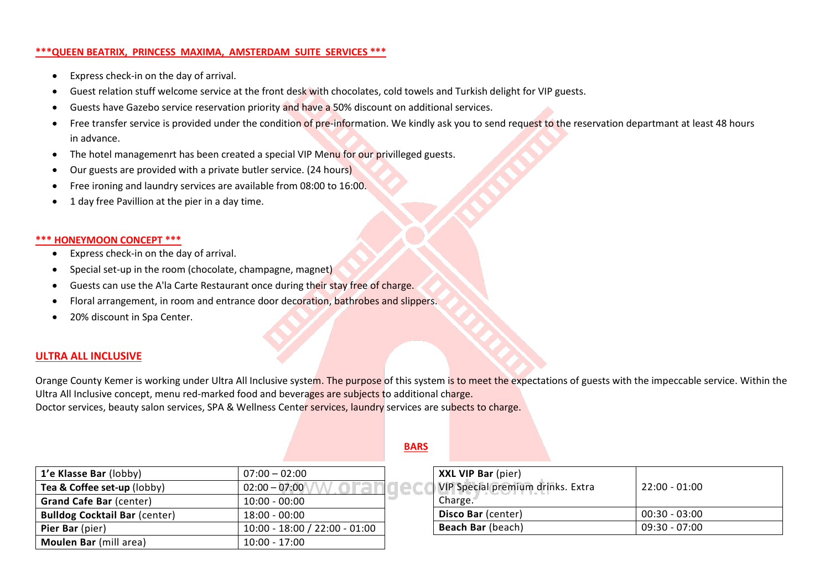#### **\*\*\*QUEEN BEATRIX, PRINCESS MAXIMA, AMSTERDAM SUITE SERVICES \*\*\***

- Express check-in on the day of arrival.
- Guest relation stuff welcome service at the front desk with chocolates, cold towels and Turkish delight for VIP guests.
- Guests have Gazebo service reservation priority and have a 50% discount on additional services.
- Free transfer service is provided under the condition of pre-information. We kindly ask you to send request to the reservation departmant at least 48 hours in advance.
- The hotel managemenrt has been created a special VIP Menu for our privilleged guests.
- Our guests are provided with a private butler service. (24 hours)
- Free ironing and laundry services are available from 08:00 to 16:00.
- 1 day free Pavillion at the pier in a day time.

### **\*\*\* HONEYMOON CONCEPT \*\*\***

- Express check-in on the day of arrival.
- Special set-up in the room (chocolate, champagne, magnet)
- Guests can use the A'la Carte Restaurant once during their stay free of charge.
- Floral arrangement, in room and entrance door decoration, bathrobes and slippers.
- 20% discount in Spa Center.

# **ULTRA ALL INCLUSIVE**

Orange County Kemer is working under Ultra All Inclusive system. The purpose of this system is to meet the expectations of guests with the impeccable service. Within the Ultra All Inclusive concept, menu red-marked food and beverages are subjects to additional charge. Doctor services, beauty salon services, SPA & Wellness Center services, laundry services are subects to charge.

| 1'e Klasse Bar (lobby)               | $07:00 - 02:00$               |     |
|--------------------------------------|-------------------------------|-----|
| Tea & Coffee set-up (lobby)          | $02:00 - 07:00$               | IEC |
| <b>Grand Cafe Bar (center)</b>       | $10:00 - 00:00$               |     |
| <b>Bulldog Cocktail Bar (center)</b> | $18:00 - 00:00$               |     |
| Pier Bar (pier)                      | 10:00 - 18:00 / 22:00 - 01:00 |     |
| Moulen Bar (mill area)               | $10:00 - 17:00$               |     |

# **BARS**

| XXL VIP Bar (pier)<br>VIP Special premium drinks. Extra<br>Charge. | $22:00 - 01:00$ |
|--------------------------------------------------------------------|-----------------|
| Disco Bar (center)                                                 | $00:30 - 03:00$ |
| Beach Bar (beach)                                                  | $09:30 - 07:00$ |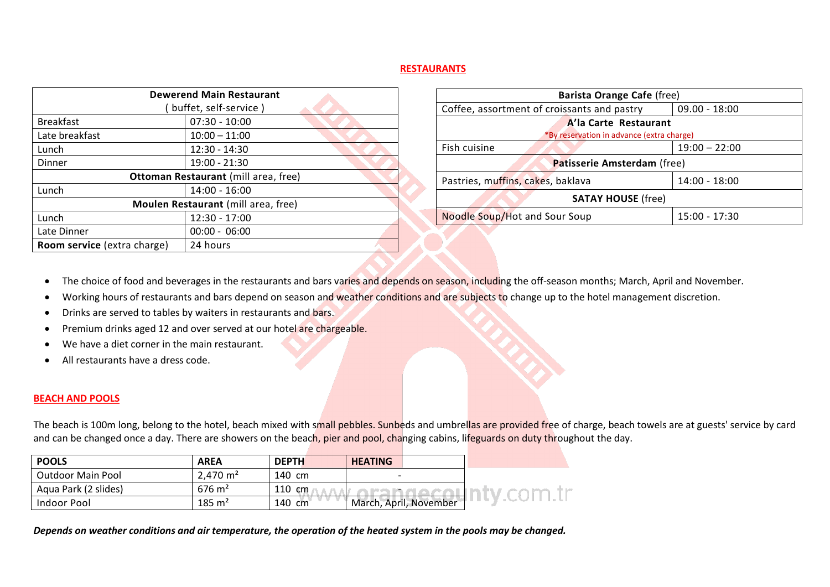#### **RESTAURANTS**

|                             | <b>Dewerend Main Restaurant</b>             |
|-----------------------------|---------------------------------------------|
|                             | ( buffet, self-service )                    |
| <b>Breakfast</b>            | $07:30 - 10:00$                             |
| Late breakfast              | $10:00 - 11:00$                             |
| Lunch                       | $12:30 - 14:30$                             |
| Dinner                      | 19:00 - 21:30                               |
|                             | <b>Ottoman Restaurant</b> (mill area, free) |
| Lunch                       | $14:00 - 16:00$                             |
|                             | Moulen Restaurant (mill area, free)         |
| Lunch                       | 12:30 - 17:00                               |
| Late Dinner                 | $00:00 - 06:00$                             |
| Room service (extra charge) | 24 hours                                    |

| <b>Barista Orange Cafe (free)</b>           |                 |
|---------------------------------------------|-----------------|
| Coffee, assortment of croissants and pastry | $09.00 - 18:00$ |
| A'la Carte Restaurant                       |                 |
| *By reservation in advance (extra charge)   |                 |
| Fish cuisine                                | $19:00 - 22:00$ |
| <b>Patisserie Amsterdam</b> (free)          |                 |
| Pastries, muffins, cakes, baklava           | 14:00 - 18:00   |
| <b>SATAY HOUSE (free)</b>                   |                 |
| Noodle Soup/Hot and Sour Soup               | 15:00 - 17:30   |

- The choice of food and beverages in the restaurants and bars varies and depends on season, including the off-season months; March, April and November.
- Working hours of restaurants and bars depend on season and weather conditions and are subjects to change up to the hotel management discretion.
- Drinks are served to tables by waiters in restaurants and bars.
- Premium drinks aged 12 and over served at our hotel are chargeable.
- We have a diet corner in the main restaurant.
- All restaurants have a dress code.

#### **BEACH AND POOLS**

The beach is 100m long, belong to the hotel, beach mixed with small pebbles. Sunbeds and umbrellas are provided free of charge, beach towels are at guests' service by card and can be changed once a day. There are showers on the beach, pier and pool, changing cabins, lifeguards on duty throughout the day.

| <b>POOLS</b>             | <b>AREA</b>           | <b>DEPTH</b> | <b>HEATING</b>         |  |
|--------------------------|-----------------------|--------------|------------------------|--|
| <b>Outdoor Main Pool</b> | $2,470 \; \text{m}^2$ | 140 cm       |                        |  |
| Aqua Park (2 slides)     | $676 \text{ m}^2$     | 110 cm       |                        |  |
| Indoor Pool              | $185 \text{ m}^2$     | 140 cm       | March, April, November |  |

*Depends on weather conditions and air temperature, the operation of the heated system in the pools may be changed.*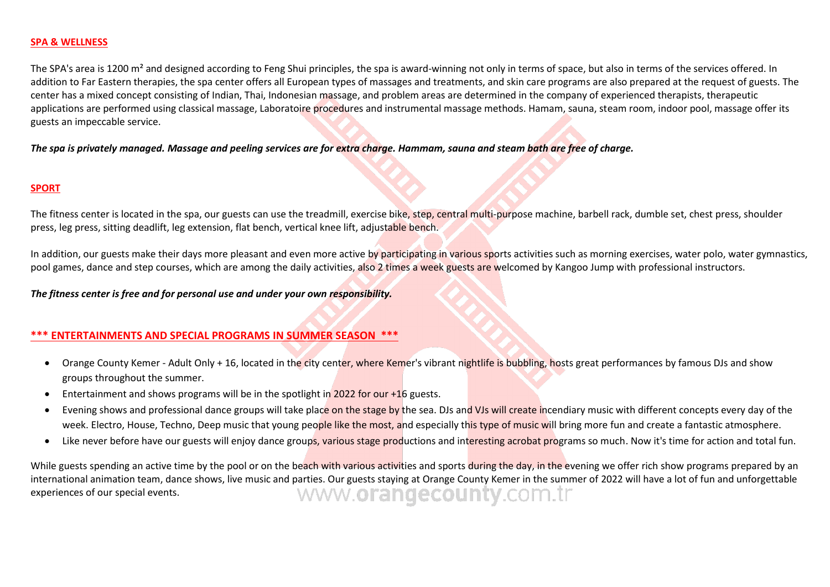#### **SPA & WELLNESS**

The SPA's area is 1200 m<sup>2</sup> and designed according to Feng Shui principles, the spa is award-winning not only in terms of space, but also in terms of the services offered. In addition to Far Eastern therapies, the spa center offers all European types of massages and treatments, and skin care programs are also prepared at the request of guests. The center has a mixed concept consisting of Indian, Thai, Indonesian massage, and problem areas are determined in the company of experienced therapists, therapeutic applications are performed using classical massage, Laboratoire procedures and instrumental massage methods. Hamam, sauna, steam room, indoor pool, massage offer its guests an impeccable service.

*The spa is privately managed. Massage and peeling services are for extra charge. Hammam, sauna and steam bath are free of charge.*

### **SPORT**

The fitness center is located in the spa, our guests can use the treadmill, exercise bike, step, central multi-purpose machine, barbell rack, dumble set, chest press, shoulder press, leg press, sitting deadlift, leg extension, flat bench, vertical knee lift, adjustable bench.

In addition, our guests make their days more pleasant and even more active by participating in various sports activities such as morning exercises, water polo, water gymnastics, pool games, dance and step courses, which are among the daily activities, also 2 times a week guests are welcomed by Kangoo Jump with professional instructors.

*The fitness center is free and for personal use and under your own responsibility.*

# **\*\*\* ENTERTAINMENTS AND SPECIAL PROGRAMS IN SUMMER SEASON \*\*\***

- Orange County Kemer Adult Only + 16, located in the city center, where Kemer's vibrant nightlife is bubbling, hosts great performances by famous DJs and show groups throughout the summer.
- Entertainment and shows programs will be in the spotlight in 2022 for our +16 guests.
- Evening shows and professional dance groups will take place on the stage by the sea. DJs and VJs will create incendiary music with different concepts every day of the week. Electro, House, Techno, Deep music that young people like the most, and especially this type of music will bring more fun and create a fantastic atmosphere.
- Like never before have our guests will enjoy dance groups, various stage productions and interesting acrobat programs so much. Now it's time for action and total fun.

While guests spending an active time by the pool or on the beach with various activities and sports during the day, in the evening we offer rich show programs prepared by an international animation team, dance shows, live music and parties. Our guests staying at Orange County Kemer in the summer of 2022 will have a lot of fun and unforgettable experiences of our special events.<br>
WWW.OFEINGECOU experiences of our special events.